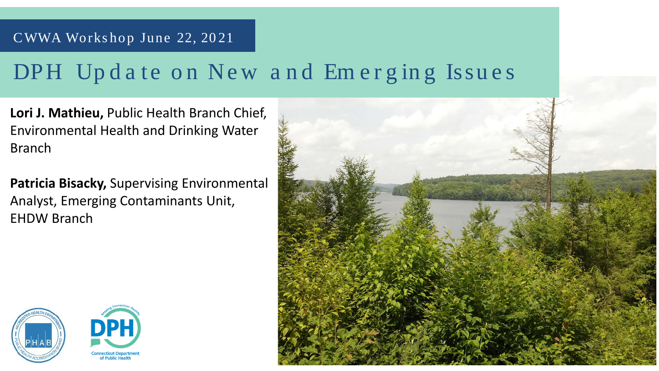### CWWA Works hop June 22, 20 21

## DPH Update on New and Emerging Issues

**Lori J. Mathieu,** Public Health Branch Chief, Environmental Health and Drinking Water Branch

**Patricia Bisacky,** Supervising Environmental Analyst, Emerging Contaminants Unit, EHDW Branch





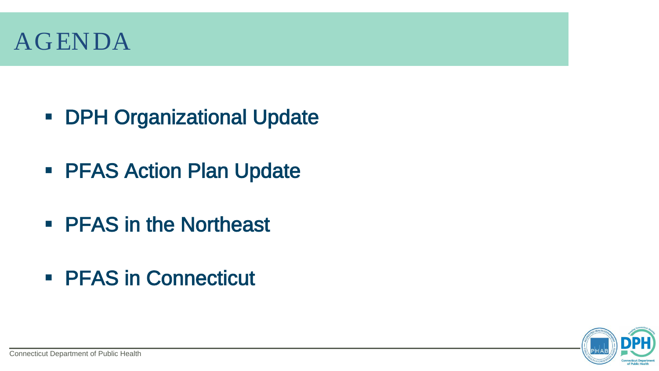- **DPH Organizational Update**
- **PFAS Action Plan Update**
- **PFAS in the Northeast**
- PFAS in Connecticut





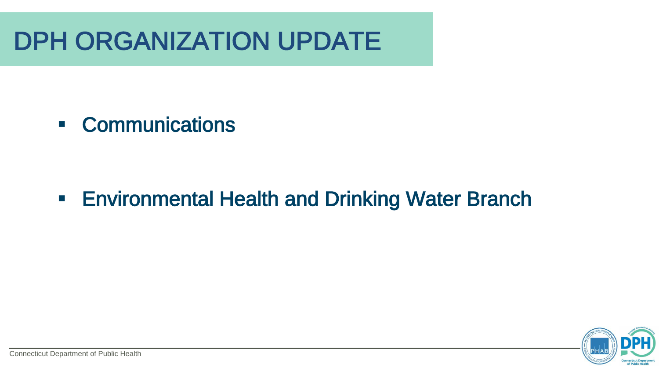# DPH ORGANIZATION UPDATE



### Communications

## **Environmental Health and Drinking Water Branch**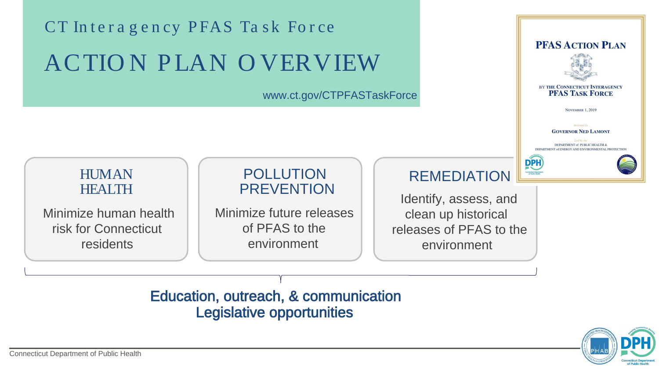### HUMAN HEALTH

Minimize human health risk for Connecticut residents

### POLLUTION PREVENTION

Minimize future releases of PFAS to the environment

### Education, outreach, & communication Legislative opportunities

REMEDIATION Identify, assess, and clean up historical releases of PFAS to the environment

# CT Interagency PFAS Task Force ACTION PLAN OVERVIEW

### www.ct.gov/CTPFASTaskForce





### BY THE CONNECTICUT INTERAGENCY **PFAS TASK FORCE**

**NOVEMBER 1, 2019** 

Initiated by **GOVERNOR NED LAMONT** 

Led by the DEPARTMENT of PUBLIC HEALTH & DEPARTMENT of ENERGY AND ENVIRONMENTAL PROTECTIO



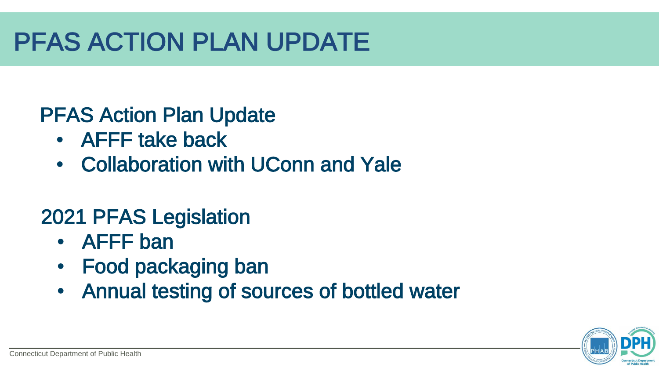# PFAS ACTION PLAN UPDATE





### PFAS Action Plan Update

- AFFF take back
- Collaboration with UConn and Yale

## 2021 PFAS Legislation

- AFFF ban
- Food packaging ban
- Annual testing of sources of bottled water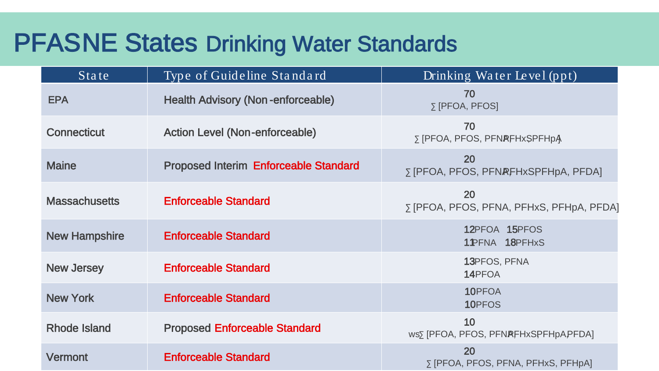| State                | Type of Guideline Standard                   | Drinking Water Level (ppt)                                  |
|----------------------|----------------------------------------------|-------------------------------------------------------------|
| <b>EPA</b>           | <b>Health Advisory (Non-enforceable)</b>     | 70<br>$\Sigma$ [PFOA, PFOS]                                 |
| <b>Connecticut</b>   | <b>Action Level (Non-enforceable)</b>        | 70<br><b>SIPFOA, PFOS, PFNRFHxSPFHpA</b>                    |
| <b>Maine</b>         | <b>Proposed Interim Enforceable Standard</b> | <b>20</b><br><b>SIPFOA, PFOS, PFNRFHxSPFHpA, PFDA]</b>      |
| <b>Massachusetts</b> | <b>Enforceable Standard</b>                  | <b>20</b><br><b>SIPFOA, PFOS, PFNA, PFHxS, PFHpA, PFDA]</b> |
| <b>New Hampshire</b> | <b>Enforceable Standard</b>                  | 12PFOA 15PFOS<br>1 PFNA 18PFHxS                             |
| <b>New Jersey</b>    | <b>Enforceable Standard</b>                  | 13PFOS, PFNA<br>14PFOA                                      |
| <b>New York</b>      | <b>Enforceable Standard</b>                  | 10PFOA<br>10PFOS                                            |
| <b>Rhode Island</b>  | <b>Proposed Enforceable Standard</b>         | 10<br>WSS [PFOA, PFOS, PFNRFHxSPFHpAPFDA]                   |
| <b>Vermont</b>       | <b>Enforceable Standard</b>                  | <b>20</b><br>$\Sigma$ [PFOA, PFOS, PFNA, PFHxS, PFHpA]      |

## PFASNE States Drinking Water Standards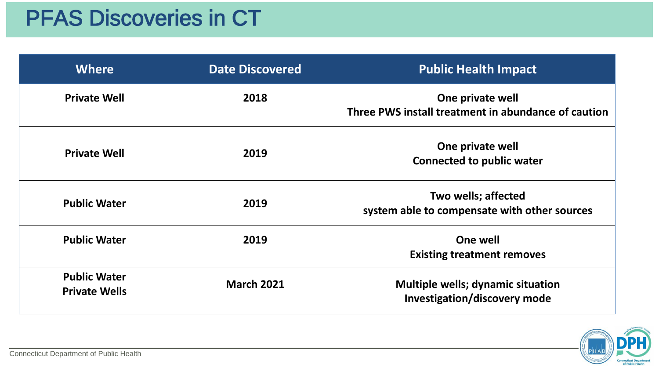## PFAS Discoveries in CT

### **Public Health Impact**

**Philopole Private well Install treatment in abundance of caution** 

**Philopole Private well Connected to public water**

**Two wells; affected Solute to compensate with other sources** 

**Refivation** *Multiple wells; dynamic situation* **Investigation/discovery mode**



| <b>Where</b>                                | <b>Date Discovered</b> | <b>Public Health I</b>                               |
|---------------------------------------------|------------------------|------------------------------------------------------|
| <b>Private Well</b>                         | 2018                   | One private<br><b>Three PWS install treatment in</b> |
| <b>Private Well</b>                         | 2019                   | One private<br><b>Connected to pub</b>               |
| <b>Public Water</b>                         | 2019                   | Two wells; aff<br>system able to compensate          |
| <b>Public Water</b>                         | 2019                   | <b>One well</b><br><b>Existing treatment</b>         |
| <b>Public Water</b><br><b>Private Wells</b> | <b>March 2021</b>      | <b>Multiple wells; dynar</b><br>Investigation/disco  |

**Existing treatment removes**